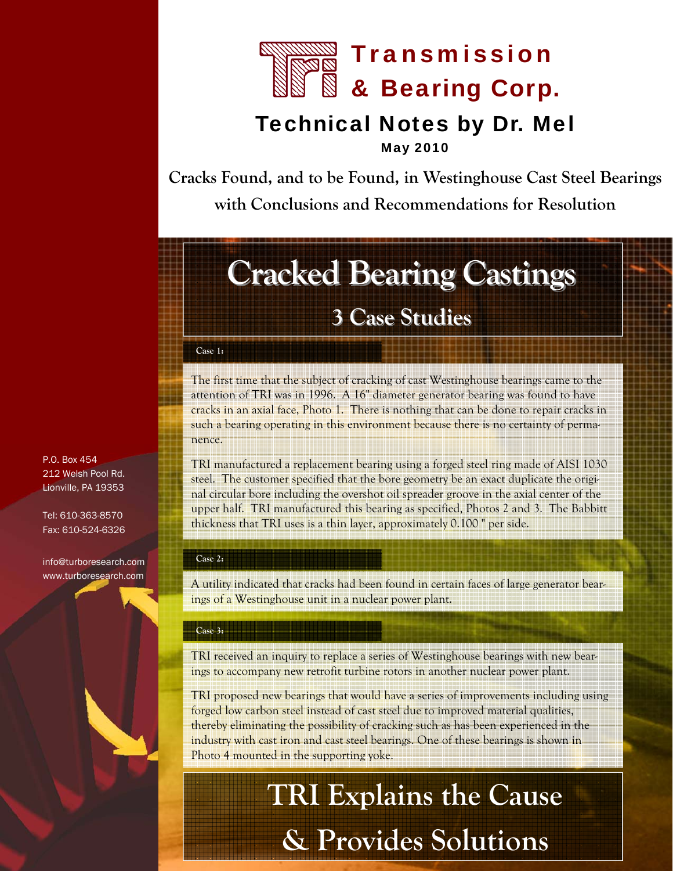

# Technical Notes by Dr. Mel

May 2010

**Cracks Found, and to be Found, in Westinghouse Cast Steel Bearings with Conclusions and Recommendations for Resolution** 

# **Cracked Bearing Castings**

## **3 Case Studies 3 Case Studies**

#### **Case 1:**

The first time that the subject of cracking of cast Westinghouse bearings came to the attention of TRI was in 1996. A 16" diameter generator bearing was found to have cracks in an axial face, Photo 1. There is nothing that can be done to repair cracks in such a bearing operating in this environment because there is no certainty of permanence.

TRI manufactured a replacement bearing using a forged steel ring made of AISI 1030 steel. The customer specified that the bore geometry be an exact duplicate the original circular bore including the overshot oil spreader groove in the axial center of the upper half. TRI manufactured this bearing as specified, Photos 2 and 3. The Babbitt thickness that TRI uses is a thin layer, approximately 0.100 " per side.

#### **Case 2:**

A utility indicated that cracks had been found in certain faces of large generator bearings of a Westinghouse unit in a nuclear power plant.

#### **Case 3:**

TRI received an inquiry to replace a series of Westinghouse bearings with new bearings to accompany new retrofit turbine rotors in another nuclear power plant.

TRI proposed new bearings that would have a series of improvements including using forged low carbon steel instead of cast steel due to improved material qualities, thereby eliminating the possibility of cracking such as has been experienced in the industry with cast iron and cast steel bearings. One of these bearings is shown in Photo 4 mounted in the supporting yoke.

# **TRI Explains the Cause & Provides Solutions**

P.O. Box 454 212 Welsh Pool Rd. Lionville, PA 19353

Tel: 610-363-8570 Fax: 610-524-6326

info@turboresearch.com www.turboresearch.com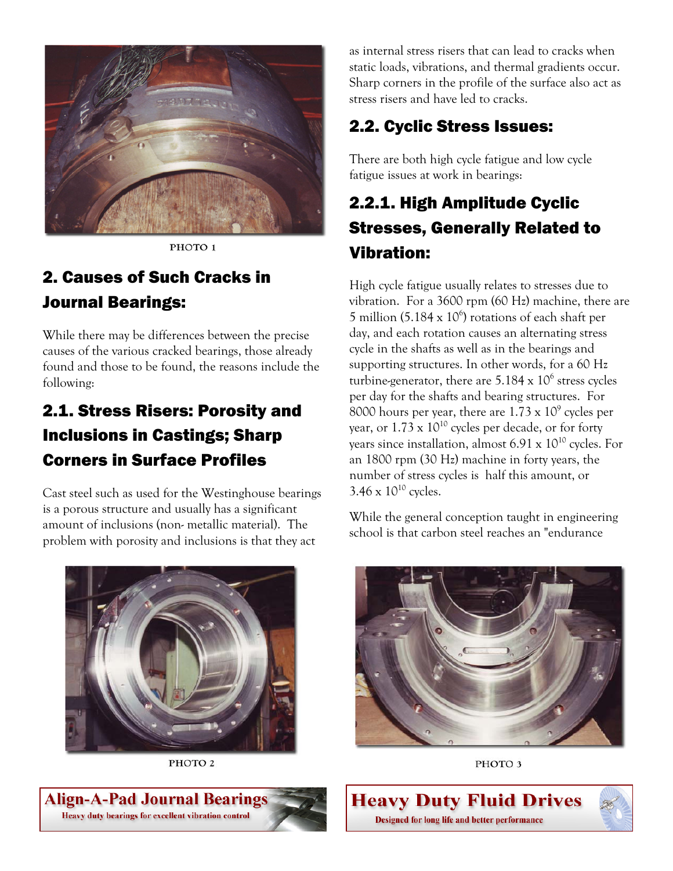

PHOTO<sub>1</sub>

## 2. Causes of Such Cracks in Journal Bearings:

While there may be differences between the precise causes of the various cracked bearings, those already found and those to be found, the reasons include the following:

## 2.1. Stress Risers: Porosity and Inclusions in Castings; Sharp Corners in Surface Profiles

Cast steel such as used for the Westinghouse bearings is a porous structure and usually has a significant amount of inclusions (non- metallic material). The problem with porosity and inclusions is that they act



PHOTO<sub>2</sub>

as internal stress risers that can lead to cracks when static loads, vibrations, and thermal gradients occur. Sharp corners in the profile of the surface also act as stress risers and have led to cracks.

### 2.2. Cyclic Stress Issues:

There are both high cycle fatigue and low cycle fatigue issues at work in bearings:

## 2.2.1. High Amplitude Cyclic Stresses, Generally Related to Vibration:

High cycle fatigue usually relates to stresses due to vibration. For a 3600 rpm (60 Hz) machine, there are 5 million (5.184  $\times$  10<sup>6</sup>) rotations of each shaft per day, and each rotation causes an alternating stress cycle in the shafts as well as in the bearings and supporting structures. In other words, for a 60 Hz turbine-generator, there are  $5.184 \times 10^6$  stress cycles per day for the shafts and bearing structures. For 8000 hours per year, there are  $1.73 \times 10^9$  cycles per year, or  $1.73 \times 10^{10}$  cycles per decade, or for forty years since installation, almost  $6.91 \times 10^{10}$  cycles. For an 1800 rpm (30 Hz) machine in forty years, the number of stress cycles is half this amount, or  $3.46 \times 10^{10}$  cycles.

While the general conception taught in engineering school is that carbon steel reaches an "endurance



PHOTO<sub>3</sub>



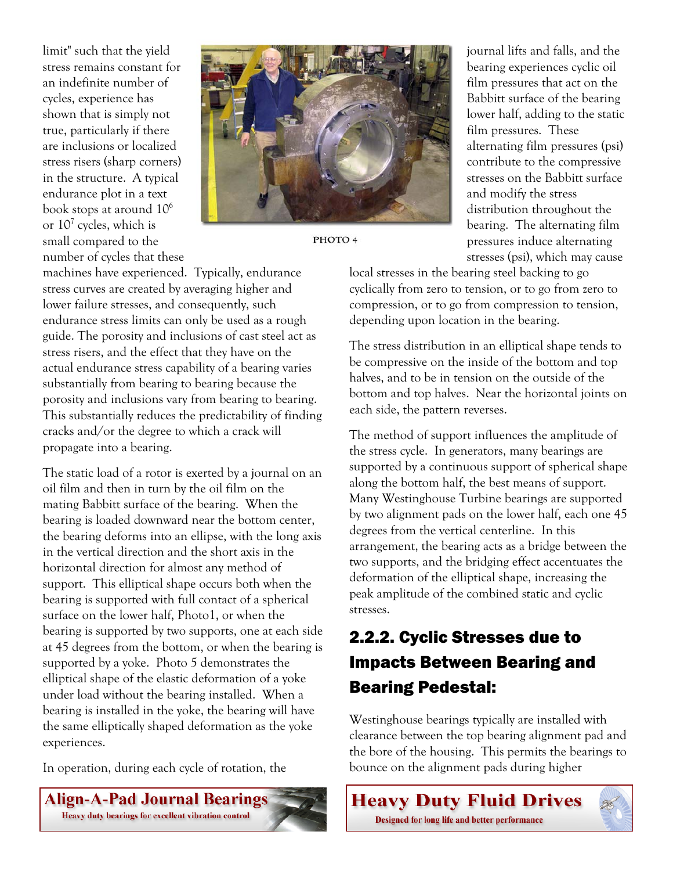limit" such that the yield stress remains constant for an indefinite number of cycles, experience has shown that is simply not true, particularly if there are inclusions or localized stress risers (sharp corners) in the structure. A typical endurance plot in a text book stops at around 10<sup>6</sup> or  $10^7$  cycles, which is small compared to the number of cycles that these



PHOTO 4

journal lifts and falls, and the bearing experiences cyclic oil film pressures that act on the Babbitt surface of the bearing lower half, adding to the static film pressures. These alternating film pressures (psi) contribute to the compressive stresses on the Babbitt surface and modify the stress distribution throughout the bearing. The alternating film pressures induce alternating stresses (psi), which may cause

machines have experienced. Typically, endurance stress curves are created by averaging higher and lower failure stresses, and consequently, such endurance stress limits can only be used as a rough guide. The porosity and inclusions of cast steel act as stress risers, and the effect that they have on the actual endurance stress capability of a bearing varies substantially from bearing to bearing because the porosity and inclusions vary from bearing to bearing. This substantially reduces the predictability of finding cracks and/or the degree to which a crack will propagate into a bearing.

The static load of a rotor is exerted by a journal on an oil film and then in turn by the oil film on the mating Babbitt surface of the bearing. When the bearing is loaded downward near the bottom center, the bearing deforms into an ellipse, with the long axis in the vertical direction and the short axis in the horizontal direction for almost any method of support. This elliptical shape occurs both when the bearing is supported with full contact of a spherical surface on the lower half, Photo1, or when the bearing is supported by two supports, one at each side at 45 degrees from the bottom, or when the bearing is supported by a yoke. Photo 5 demonstrates the elliptical shape of the elastic deformation of a yoke under load without the bearing installed. When a bearing is installed in the yoke, the bearing will have the same elliptically shaped deformation as the yoke experiences.

In operation, during each cycle of rotation, the

**Align-A-Pad Journal Bearings** Heavy duty bearings for excellent vibration control

local stresses in the bearing steel backing to go cyclically from zero to tension, or to go from zero to compression, or to go from compression to tension, depending upon location in the bearing.

The stress distribution in an elliptical shape tends to be compressive on the inside of the bottom and top halves, and to be in tension on the outside of the bottom and top halves. Near the horizontal joints on each side, the pattern reverses.

The method of support influences the amplitude of the stress cycle. In generators, many bearings are supported by a continuous support of spherical shape along the bottom half, the best means of support. Many Westinghouse Turbine bearings are supported by two alignment pads on the lower half, each one 45 degrees from the vertical centerline. In this arrangement, the bearing acts as a bridge between the two supports, and the bridging effect accentuates the deformation of the elliptical shape, increasing the peak amplitude of the combined static and cyclic stresses.

## 2.2.2. Cyclic Stresses due to Impacts Between Bearing and Bearing Pedestal:

Westinghouse bearings typically are installed with clearance between the top bearing alignment pad and the bore of the housing. This permits the bearings to bounce on the alignment pads during higher

**Heavy Duty Fluid Drives** Designed for long life and better performance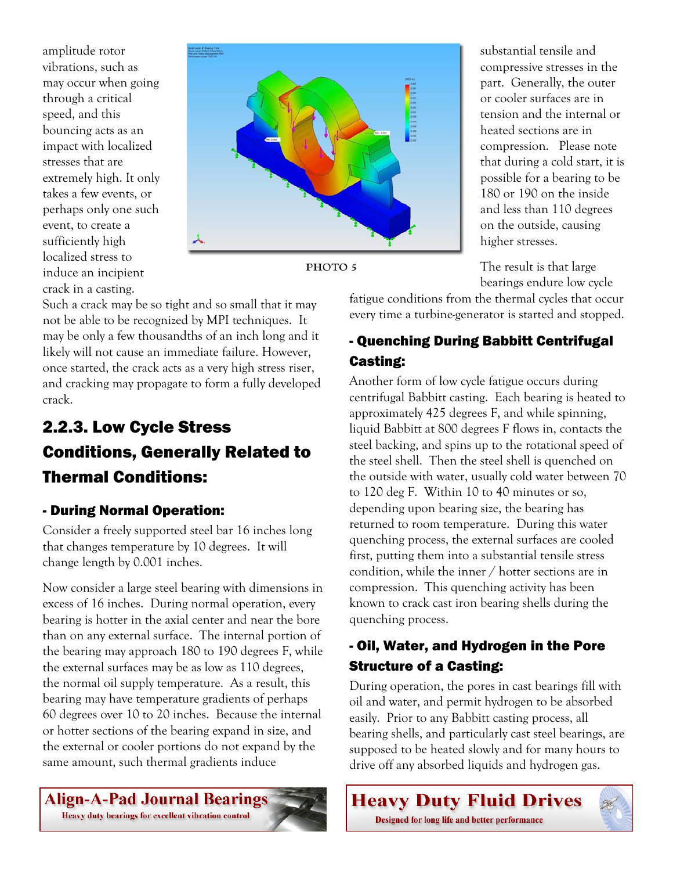amplitude rotor vibrations, such as may occur when going through a critical speed, and this bouncing acts as an impact with localized stresses that are extremely high. It only takes a few events, or perhaps only one such event, to create a sufficiently high localized stress to induce an incipient crack in a casting.



PHOTO<sub>5</sub>

Such a crack may be so tight and so small that it may not be able to be recognized by MPI techniques. It may be only a few thousandths of an inch long and it likely will not cause an immediate failure. However, once started, the crack acts as a very high stress riser, and cracking may propagate to form a fully developed crack.

## 2.2.3. Low Cycle Stress Conditions, Generally Related to Thermal Conditions:

#### - During Normal Operation:

Consider a freely supported steel bar 16 inches long that changes temperature by 10 degrees. It will change length by 0.001 inches.

Now consider a large steel bearing with dimensions in excess of 16 inches. During normal operation, every bearing is hotter in the axial center and near the bore than on any external surface. The internal portion of the bearing may approach 180 to 190 degrees F, while the external surfaces may be as low as 110 degrees, the normal oil supply temperature. As a result, this bearing may have temperature gradients of perhaps 60 degrees over 10 to 20 inches. Because the internal or hotter sections of the bearing expand in size, and the external or cooler portions do not expand by the same amount, such thermal gradients induce

Align-A-Pad Journal Bearings

Heavy duty bearings for excellent vibration control

substantial tensile and compressive stresses in the part. Generally, the outer or cooler surfaces are in tension and the internal or heated sections are in compression. Please note that during a cold start, it is possible for a bearing to be 180 or 190 on the inside and less than 110 degrees on the outside, causing higher stresses.

The result is that large bearings endure low cycle

fatigue conditions from the thermal cycles that occur every time a turbine-generator is started and stopped.

### - Quenching During Babbitt Centrifugal Casting:

Another form of low cycle fatigue occurs during centrifugal Babbitt casting. Each bearing is heated to approximately 425 degrees F, and while spinning, liquid Babbitt at 800 degrees F flows in, contacts the steel backing, and spins up to the rotational speed of the steel shell. Then the steel shell is quenched on the outside with water, usually cold water between 70 to 120 deg F. Within 10 to 40 minutes or so, depending upon bearing size, the bearing has returned to room temperature. During this water quenching process, the external surfaces are cooled first, putting them into a substantial tensile stress condition, while the inner / hotter sections are in compression. This quenching activity has been known to crack cast iron bearing shells during the quenching process.

#### - Oil, Water, and Hydrogen in the Pore Structure of a Casting:

During operation, the pores in cast bearings fill with oil and water, and permit hydrogen to be absorbed easily. Prior to any Babbitt casting process, all bearing shells, and particularly cast steel bearings, are supposed to be heated slowly and for many hours to drive off any absorbed liquids and hydrogen gas.

**Heavy Duty Fluid Drives** Designed for long life and better performance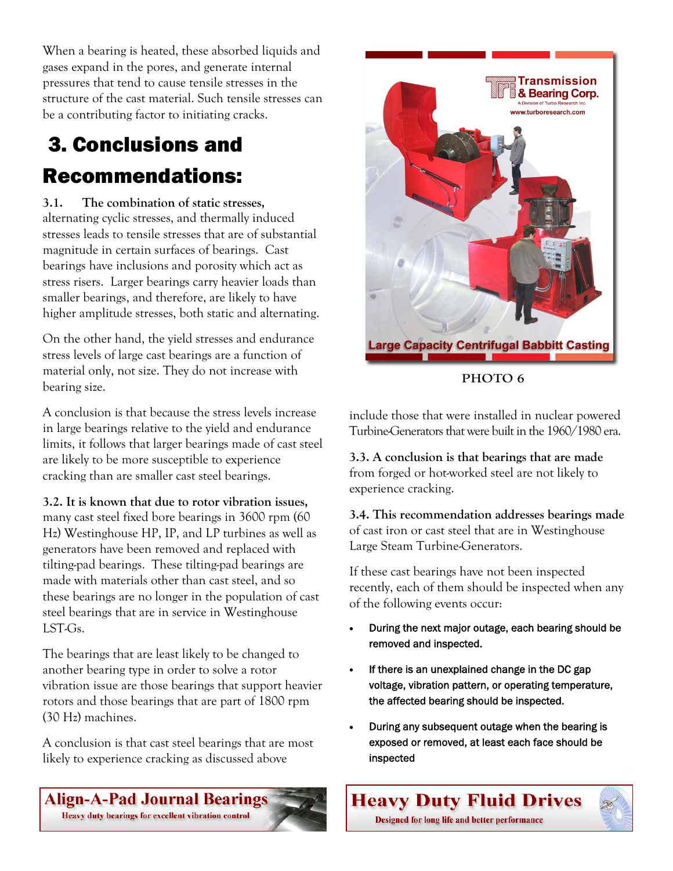When a bearing is heated, these absorbed liquids and gases expand in the pores, and generate internal pressures that tend to cause tensile stresses in the structure of the cast material. Such tensile stresses can be a contributing factor to initiating cracks.

# 3. Conclusions and Recommendations:

**3.1. The combination of static stresses,**  alternating cyclic stresses, and thermally induced stresses leads to tensile stresses that are of substantial magnitude in certain surfaces of bearings. Cast bearings have inclusions and porosity which act as stress risers. Larger bearings carry heavier loads than smaller bearings, and therefore, are likely to have higher amplitude stresses, both static and alternating.

On the other hand, the yield stresses and endurance stress levels of large cast bearings are a function of material only, not size. They do not increase with bearing size.

A conclusion is that because the stress levels increase in large bearings relative to the yield and endurance limits, it follows that larger bearings made of cast steel are likely to be more susceptible to experience cracking than are smaller cast steel bearings.

#### **3.2. It is known that due to rotor vibration issues,**

many cast steel fixed bore bearings in 3600 rpm (60 Hz) Westinghouse HP, IP, and LP turbines as well as generators have been removed and replaced with tilting-pad bearings. These tilting-pad bearings are made with materials other than cast steel, and so these bearings are no longer in the population of cast steel bearings that are in service in Westinghouse LST-Gs.

The bearings that are least likely to be changed to another bearing type in order to solve a rotor vibration issue are those bearings that support heavier rotors and those bearings that are part of 1800 rpm (30 Hz) machines.

A conclusion is that cast steel bearings that are most likely to experience cracking as discussed above

**Align-A-Pad Journal Bearings** 

Heavy duty bearings for excellent vibration control



include those that were installed in nuclear powered Turbine-Generators that were built in the 1960/1980 era.

**3.3. A conclusion is that bearings that are made**  from forged or hot-worked steel are not likely to experience cracking.

**3.4. This recommendation addresses bearings made**  of cast iron or cast steel that are in Westinghouse Large Steam Turbine-Generators.

If these cast bearings have not been inspected recently, each of them should be inspected when any of the following events occur:

- During the next major outage, each bearing should be removed and inspected.
- If there is an unexplained change in the DC gap voltage, vibration pattern, or operating temperature, the affected bearing should be inspected.
- During any subsequent outage when the bearing is exposed or removed, at least each face should be inspected